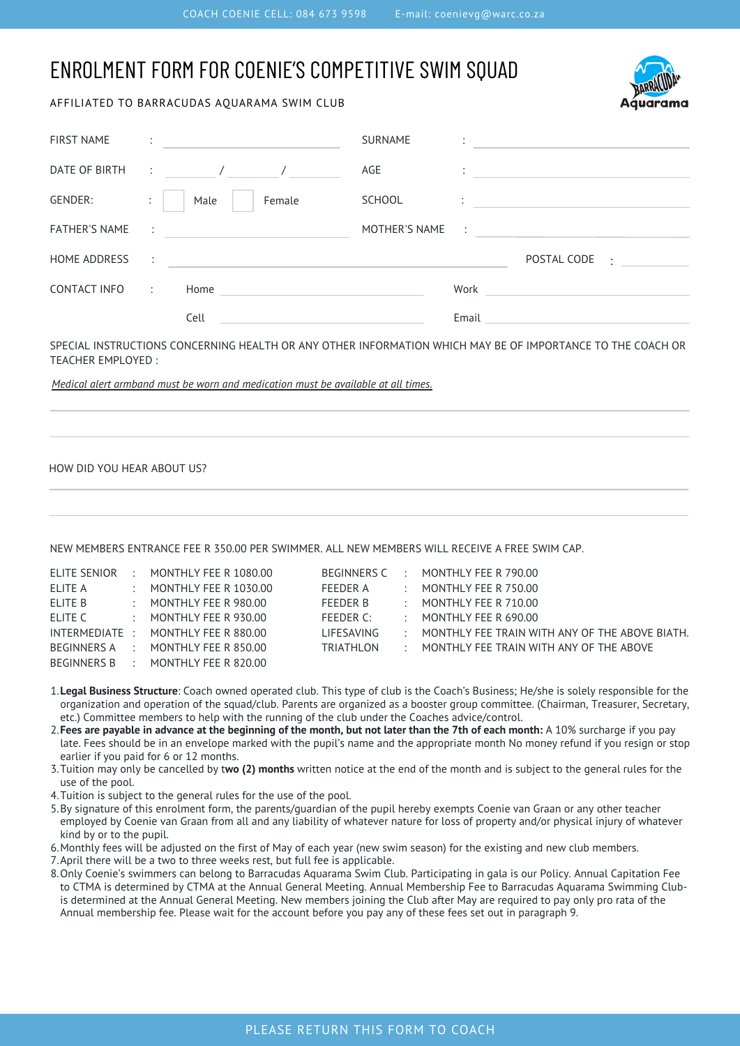# ENROLMENT FORM FOR COENIE'S COMPETITIVE SWIM SQUAD

### AFFILIATED TO BARRACUDAS AQUARAMA SWIM CLUB



| <b>FIRST NAME</b>    |                      |                       |        | <b>SURNAME</b> |                |                          |  |
|----------------------|----------------------|-----------------------|--------|----------------|----------------|--------------------------|--|
| DATE OF BIRTH        |                      | $\therefore$ $\qquad$ |        | AGE            | $\cdot$        |                          |  |
| GENDER:              | ÷                    | Male                  | Female | <b>SCHOOL</b>  |                |                          |  |
| <b>FATHER'S NAME</b> | $\sim 100$           |                       |        | MOTHER'S NAME  | $\mathbb{R}^2$ |                          |  |
| HOME ADDRESS         | $\sim$ 1.            |                       |        |                |                | POSTAL CODE<br>$\bullet$ |  |
| CONTACT INFO         | $\ddot{\phantom{1}}$ | Home                  |        |                | Work           |                          |  |
|                      |                      | Cell                  |        |                | Email          |                          |  |

SPECIAL INSTRUCTIONS CONCERNING HEALTH OR ANY OTHER INFORMATION WHICH MAY BE OF IMPORTANCE TO THE COACH OR TEACHER EMPLOYED :

*Medical alert armband must be worn and medication must be available at all times.*

#### HOW DID YOU HEAR ABOUT US?

NEW MEMBERS ENTRANCE FEE R 350.00 PER SWIMMER. ALL NEW MEMBERS WILL RECEIVE A FREE SWIM CAP.

| ELITE SENIOR | $\therefore$ MONTHLY FEE R 1080.00 | BEGINNERS C     |               | $\therefore$ MONTHLY FEE R 790.00                    |
|--------------|------------------------------------|-----------------|---------------|------------------------------------------------------|
| ELITE A      | $\therefore$ MONTHLY FEE R 1030.00 | FFFDFR A        | <b>.</b>      | MONTHLY FEE R 750.00                                 |
| ELITE B      | $\therefore$ MONTHLY FEE R 980.00  | <b>FEEDER B</b> | $\mathcal{L}$ | MONTHLY FEE R 710.00                                 |
| ELITE C      | $\cdot$ MONTHI Y FFF R 930.00      | $FFFDFR$ $C:$   | $\cdot$       | MONTHI Y FFF R 690.00                                |
|              | INTERMEDIATE: MONTHLY FEE R 880.00 | LIFESAVING      | $\sim$        | MONTHLY FEE TRAIN WITH ANY OF THE ABOVE BIATH.       |
|              | BEGINNERS A : MONTHLY FEE R 850.00 | TRIATHLON       |               | $\therefore$ MONTHLY FEE TRAIN WITH ANY OF THE ABOVE |
|              | BEGINNERS B: MONTHLY FEE R 820.00  |                 |               |                                                      |

- **Legal Business Structure**: Coach owned operated club. This type of club is the Coach's Business; He/she is solely responsible for the 1. organization and operation of the squad/club. Parents are organized as a booster group committee. (Chairman, Treasurer, Secretary, etc.) Committee members to help with the running of the club under the Coaches advice/control.
- 2.**Fees are payable in advance at the beginning of the month, but not later than the 7th of each month:** A 10% surcharge if you pay late. Fees should be in an envelope marked with the pupil's name and the appropriate month No money refund if you resign or stop earlier if you paid for 6 or 12 months.
- Tuition may only be cancelled by t**wo (2) months** written notice at the end of the month and is subject to the general rules for the 3. use of the pool.
- Tuition is subject to the general rules for the use of the pool. 4.
- By signature of this enrolment form, the parents/guardian of the pupil hereby exempts Coenie van Graan or any other teacher 5. employed by Coenie van Graan from all and any liability of whatever nature for loss of property and/or physical injury of whatever kind by or to the pupil.
- Monthly fees will be adjusted on the first of May of each year (new swim season) for the existing and new club members. 6.
- 7. April there will be a two to three weeks rest, but full fee is applicable.
- Only Coenie's swimmers can belong to Barracudas Aquarama Swim Club. Participating in gala is our Policy. Annual Capitation Fee 8. to CTMA is determined by CTMA at the Annual General Meeting. Annual Membership Fee to Barracudas Aquarama Swimming Clubis determined at the Annual General Meeting. New members joining the Club after May are required to pay only pro rata of the Annual membership fee. Please wait for the account before you pay any of these fees set out in paragraph 9.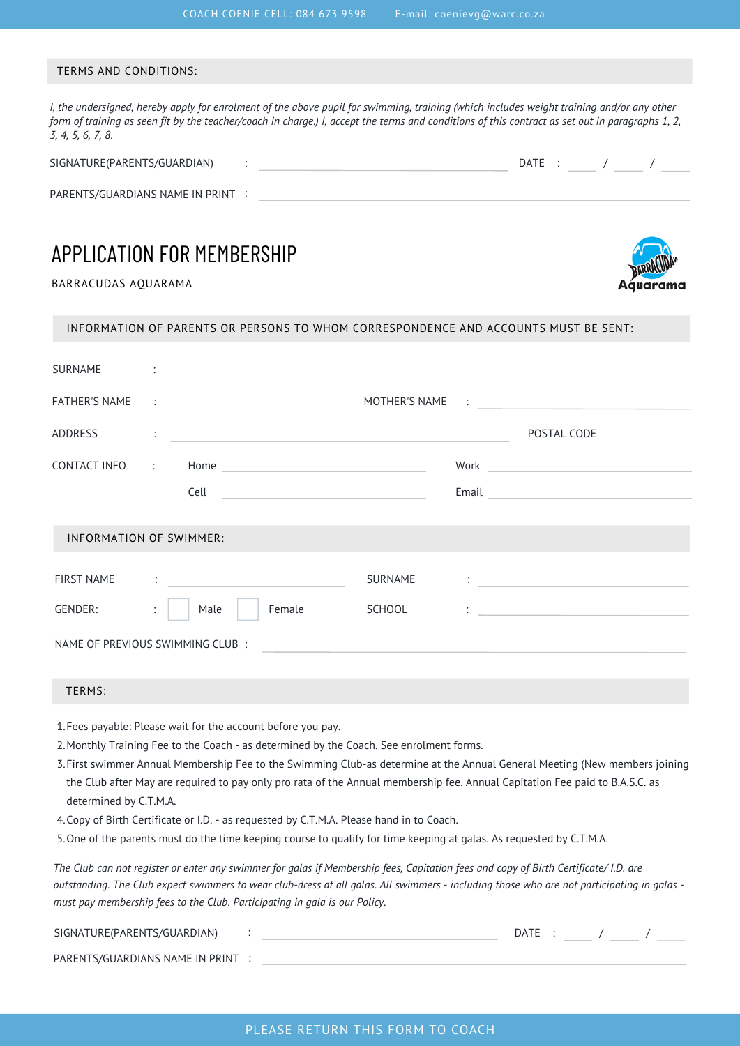#### TERMS AND CONDITIONS:

I, the undersigned, hereby apply for enrolment of the above pupil for swimming, training (which includes weight training and/or any other form of training as seen fit by the teacher/coach in charge.) I, accept the terms and conditions of this contract as set out in paragraphs 1, 2, *3, 4, 5, 6, 7, 8.*

| SIGNATURE(PARENTS/GUARDIAN)     |  | DATE |  |  |  |
|---------------------------------|--|------|--|--|--|
| PARENTS/GUARDIANS NAME IN PRINT |  |      |  |  |  |

## APPLICATION FOR MEMBERSHIP

BARRACUDAS AQUARAMA



| SURNAME | $\cdot$ |  |  |  |  |
|---------|---------|--|--|--|--|
|         |         |  |  |  |  |

INFORMATION OF PARENTS OR PERSONS TO WHOM CORRESPONDENCE AND ACCOUNTS MUST BE SENT:

| FATHER'S NAME                   |    | $\mathcal{L}=\left\{\begin{array}{cc} \mathcal{L}_{\mathcal{A}} & \mathcal{L}_{\mathcal{A}} & \mathcal{L}_{\mathcal{A}} & \mathcal{L}_{\mathcal{A}} \end{array}\right\}$                                                                              |               | MOTHER'S NAME : 2008 - 2008 - 2014 - 2022 - 2022 - 2022 - 2022 - 2022 - 2022 - 2022 - 2022 - 2022 - 2022 - 20                                                                                                                                                                                                                                                                                                                                                                                     |
|---------------------------------|----|-------------------------------------------------------------------------------------------------------------------------------------------------------------------------------------------------------------------------------------------------------|---------------|---------------------------------------------------------------------------------------------------------------------------------------------------------------------------------------------------------------------------------------------------------------------------------------------------------------------------------------------------------------------------------------------------------------------------------------------------------------------------------------------------|
| ADDRESS                         |    | the company of the company of the company of the company of the company of the company of the company of the company of the company of the company of the company of the company of the company of the company of the company                         |               | POSTAL CODE                                                                                                                                                                                                                                                                                                                                                                                                                                                                                       |
|                                 |    |                                                                                                                                                                                                                                                       |               |                                                                                                                                                                                                                                                                                                                                                                                                                                                                                                   |
|                                 |    |                                                                                                                                                                                                                                                       |               | Email <b>Exercise Service Service Service Service</b>                                                                                                                                                                                                                                                                                                                                                                                                                                             |
| <b>INFORMATION OF SWIMMER:</b>  |    |                                                                                                                                                                                                                                                       |               |                                                                                                                                                                                                                                                                                                                                                                                                                                                                                                   |
| <b>FIRST NAME</b>               |    | $\mathcal{L}^{\mathcal{L}}(\mathcal{L}^{\mathcal{L}})$ . The contract of the contract of the contract of the contract of the contract of the contract of the contract of the contract of the contract of the contract of the contract of the contract | SURNAME       |                                                                                                                                                                                                                                                                                                                                                                                                                                                                                                   |
| GENDER:                         | ÷. | Male<br>Female                                                                                                                                                                                                                                        | <b>SCHOOL</b> | $\begin{minipage}{.4\linewidth} \begin{tabular}{l} \multicolumn{2}{c} {\textbf{1}} & \multicolumn{2}{c} {\textbf{1}} & \multicolumn{2}{c} {\textbf{1}} \\ \multicolumn{2}{c} {\textbf{2}} & \multicolumn{2}{c} {\textbf{3}} & \multicolumn{2}{c} {\textbf{4}} \\ \multicolumn{2}{c} {\textbf{5}} & \multicolumn{2}{c} {\textbf{6}} & \multicolumn{2}{c} {\textbf{7}} \\ \multicolumn{2}{c} {\textbf{6}} & \multicolumn{2}{c} {\textbf{7}} & \multicolumn{2}{c} {\textbf{8}} \\ \multicolumn{2}{c$ |
| NAME OF PREVIOUS SWIMMING CLUB: |    |                                                                                                                                                                                                                                                       |               |                                                                                                                                                                                                                                                                                                                                                                                                                                                                                                   |
| TFRMS:                          |    |                                                                                                                                                                                                                                                       |               |                                                                                                                                                                                                                                                                                                                                                                                                                                                                                                   |

- 1. Fees payable: Please wait for the account before you pay.
- 2. Monthly Training Fee to the Coach as determined by the Coach. See enrolment forms.
- First swimmer Annual Membership Fee to the Swimming Club-as determine at the Annual General Meeting (New members joining 3. the Club after May are required to pay only pro rata of the Annual membership fee. Annual Capitation Fee paid to B.A.S.C. as determined by C.T.M.A.
- 4. Copy of Birth Certificate or I.D. as requested by C.T.M.A. Please hand in to Coach.
- 5. One of the parents must do the time keeping course to qualify for time keeping at galas. As requested by C.T.M.A.

The Club can not register or enter any swimmer for galas if Membership fees, Capitation fees and copy of Birth Certificate/ I.D. are outstanding. The Club expect swimmers to wear club-dress at all galas. All swimmers - including those who are not participating in galas *must pay membership fees to the Club. Participating in gala is our Policy.*

| SIGNATURE(PARENTS/GUARDIAN)     |  |  |  |
|---------------------------------|--|--|--|
| PARENTS/GUARDIANS NAME IN PRINT |  |  |  |